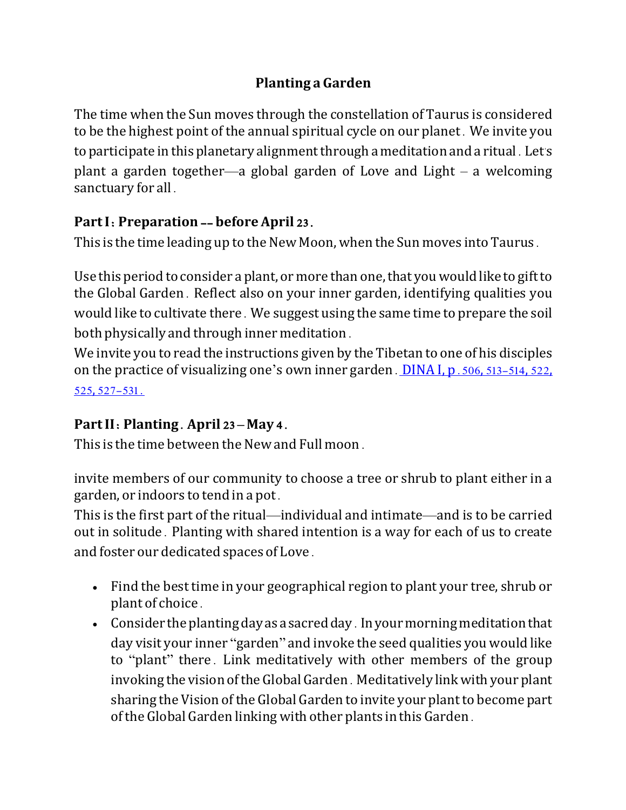## **Planting a Garden**

The time when the Sun moves through the constellation of Taurus is considered to be the highest point of the annual spiritual cycle on our planet. We invite you to participate in this planetary alignment through a meditation and a ritual. Let's plant a garden together—a global garden of Love and Light – a welcoming sanctuary for all.

## **Part I**: **Preparation** -- **before April** 23.

This is the time leading up to the New Moon, when the Sun moves into Taurus.

Use this period to consider a plant, or more than one, that you would like to gift to the Global Garden. Reflect also on your inner garden, identifying qualities you would like to cultivate there. We suggest using the same time to prepare the soil both physically and through inner meditation.

We invite you to read the instructions given by the Tibetan to one of his disciples on the practice of visualizing one's own inner garden. DINA I, p.506, 513-514, 522, 525, 527-531.

## **Part II**: **Planting**. **April** 23 **– May** 4.

This is the time between the New and Full moon.

invite members of our community to choose a tree or shrub to plant either in a garden, or indoors to tend in a pot.

This is the first part of the ritual—individual and intimate—and is to be carried out in solitude. Planting with shared intention is a way for each of us to create and foster our dedicated spaces of Love.

- Find the best time in your geographical region to plant your tree, shrub or plant of choice.
- Consider the planting day as a sacred day. In your morning meditation that day visit your inner "garden" and invoke the seed qualities you would like to "plant" there. Link meditatively with other members of the group invoking the vision oftheGlobalGarden. Meditatively linkwith your plant sharing the Vision of the Global Garden to invite your plant to become part ofthe Global Garden linking with other plants in this Garden.